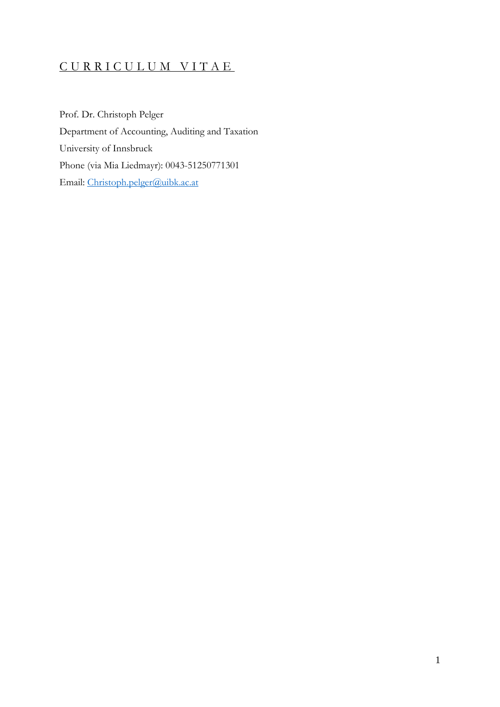# C U R R I C U L U M V I T A E

Prof. Dr. Christoph Pelger Department of Accounting, Auditing and Taxation University of Innsbruck Phone (via Mia Liedmayr): 0043-51250771301 Email: [Christoph.pelger@uibk.ac.at](mailto:Christoph.pelger@uibk.ac.at)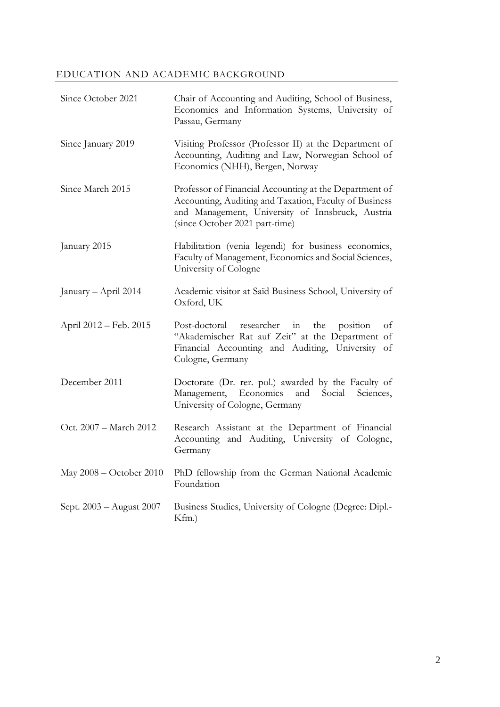# EDUCATION AND ACADEMIC BACKGROUND

| Since October 2021       | Chair of Accounting and Auditing, School of Business,<br>Economics and Information Systems, University of<br>Passau, Germany                                                                           |
|--------------------------|--------------------------------------------------------------------------------------------------------------------------------------------------------------------------------------------------------|
| Since January 2019       | Visiting Professor (Professor II) at the Department of<br>Accounting, Auditing and Law, Norwegian School of<br>Economics (NHH), Bergen, Norway                                                         |
| Since March 2015         | Professor of Financial Accounting at the Department of<br>Accounting, Auditing and Taxation, Faculty of Business<br>and Management, University of Innsbruck, Austria<br>(since October 2021 part-time) |
| January 2015             | Habilitation (venia legendi) for business economics,<br>Faculty of Management, Economics and Social Sciences,<br>University of Cologne                                                                 |
| January - April 2014     | Academic visitor at Saïd Business School, University of<br>Oxford, UK                                                                                                                                  |
| April 2012 – Feb. 2015   | researcher in<br>the<br>position<br>Post-doctoral<br>οf<br>"Akademischer Rat auf Zeit" at the Department of<br>Financial Accounting and Auditing, University of<br>Cologne, Germany                    |
| December 2011            | Doctorate (Dr. rer. pol.) awarded by the Faculty of<br>Management, Economics<br>and Social<br>Sciences,<br>University of Cologne, Germany                                                              |
| Oct. 2007 - March 2012   | Research Assistant at the Department of Financial<br>Accounting and Auditing, University of Cologne,<br>Germany                                                                                        |
| May 2008 – October 2010  | PhD fellowship from the German National Academic<br>Foundation                                                                                                                                         |
| Sept. 2003 - August 2007 | Business Studies, University of Cologne (Degree: Dipl.-<br>Kfm.)                                                                                                                                       |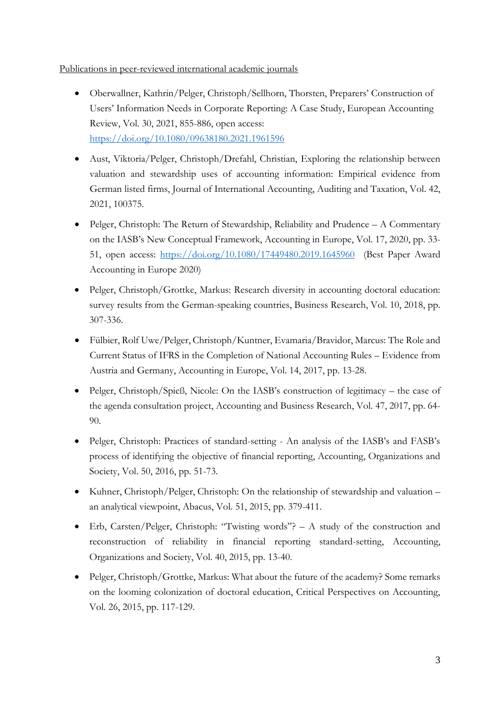Publications in peer-reviewed international academic journals

- Oberwallner, Kathrin/Pelger, Christoph/Sellhorn, Thorsten, Preparers' Construction of Users' Information Needs in Corporate Reporting: A Case Study, European Accounting Review, Vol. 30, 2021, 855-886, open access: <https://doi.org/10.1080/09638180.2021.1961596>
- Aust, Viktoria/Pelger, Christoph/Drefahl, Christian, Exploring the relationship between valuation and stewardship uses of accounting information: Empirical evidence from German listed firms, Journal of International Accounting, Auditing and Taxation, Vol. 42, 2021, 100375.
- Pelger, Christoph: The Return of Stewardship, Reliability and Prudence A Commentary on the IASB's New Conceptual Framework, Accounting in Europe, Vol. 17, 2020, pp. 33 51, open access:<https://doi.org/10.1080/17449480.2019.1645960> (Best Paper Award Accounting in Europe 2020)
- Pelger, Christoph/Grottke, Markus: Research diversity in accounting doctoral education: survey results from the German-speaking countries, Business Research, Vol. 10, 2018, pp. 307-336.
- Fülbier, Rolf Uwe/Pelger, Christoph/Kuntner, Evamaria/Bravidor, Marcus: The Role and Current Status of IFRS in the Completion of National Accounting Rules – Evidence from Austria and Germany, Accounting in Europe, Vol. 14, 2017, pp. 13-28.
- Pelger, Christoph/Spieß, Nicole: On the IASB's construction of legitimacy the case of the agenda consultation project, Accounting and Business Research, Vol. 47, 2017, pp. 64- 90.
- Pelger, Christoph: Practices of standard-setting An analysis of the IASB's and FASB's process of identifying the objective of financial reporting, Accounting, Organizations and Society, Vol. 50, 2016, pp. 51-73.
- Kuhner, Christoph/Pelger, Christoph: On the relationship of stewardship and valuation an analytical viewpoint, Abacus, Vol. 51, 2015, pp. 379-411.
- Erb, Carsten/Pelger, Christoph: "Twisting words"? A study of the construction and reconstruction of reliability in financial reporting standard-setting, Accounting, Organizations and Society, Vol. 40, 2015, pp. 13-40.
- Pelger, Christoph/Grottke, Markus: What about the future of the academy? Some remarks on the looming colonization of doctoral education, Critical Perspectives on Accounting, Vol. 26, 2015, pp. 117-129.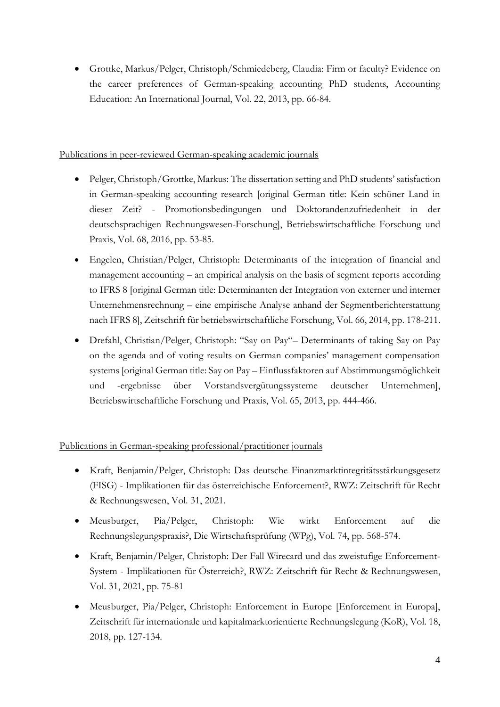• Grottke, Markus/Pelger, Christoph/Schmiedeberg, Claudia: Firm or faculty? Evidence on the career preferences of German-speaking accounting PhD students, Accounting Education: An International Journal, Vol. 22, 2013, pp. 66-84.

#### Publications in peer-reviewed German-speaking academic journals

- Pelger, Christoph/Grottke, Markus: The dissertation setting and PhD students' satisfaction in German-speaking accounting research [original German title: Kein schöner Land in dieser Zeit? - Promotionsbedingungen und Doktorandenzufriedenheit in der deutschsprachigen Rechnungswesen-Forschung], Betriebswirtschaftliche Forschung und Praxis, Vol. 68, 2016, pp. 53-85.
- Engelen, Christian/Pelger, Christoph: Determinants of the integration of financial and management accounting – an empirical analysis on the basis of segment reports according to IFRS 8 [original German title: Determinanten der Integration von externer und interner Unternehmensrechnung – eine empirische Analyse anhand der Segmentberichterstattung nach IFRS 8], Zeitschrift für betriebswirtschaftliche Forschung, Vol. 66, 2014, pp. 178-211.
- Drefahl, Christian/Pelger, Christoph: "Say on Pay"– Determinants of taking Say on Pay on the agenda and of voting results on German companies' management compensation systems [original German title: Say on Pay – Einflussfaktoren auf Abstimmungsmöglichkeit und -ergebnisse über Vorstandsvergütungssysteme deutscher Unternehmen], Betriebswirtschaftliche Forschung und Praxis, Vol. 65, 2013, pp. 444-466.

## Publications in German-speaking professional/practitioner journals

- Kraft, Benjamin/Pelger, Christoph: Das deutsche Finanzmarktintegritätsstärkungsgesetz (FISG) - Implikationen für das österreichische Enforcement?, RWZ: Zeitschrift für Recht & Rechnungswesen, Vol. 31, 2021.
- Meusburger, Pia/Pelger, Christoph: Wie wirkt Enforcement auf die Rechnungslegungspraxis?, Die Wirtschaftsprüfung (WPg), Vol. 74, pp. 568-574.
- Kraft, Benjamin/Pelger, Christoph: Der Fall Wirecard und das zweistufige Enforcement-System - Implikationen für Österreich?, RWZ: Zeitschrift für Recht & Rechnungswesen, Vol. 31, 2021, pp. 75-81
- Meusburger, Pia/Pelger, Christoph: Enforcement in Europe [Enforcement in Europa], Zeitschrift für internationale und kapitalmarktorientierte Rechnungslegung (KoR), Vol. 18, 2018, pp. 127-134.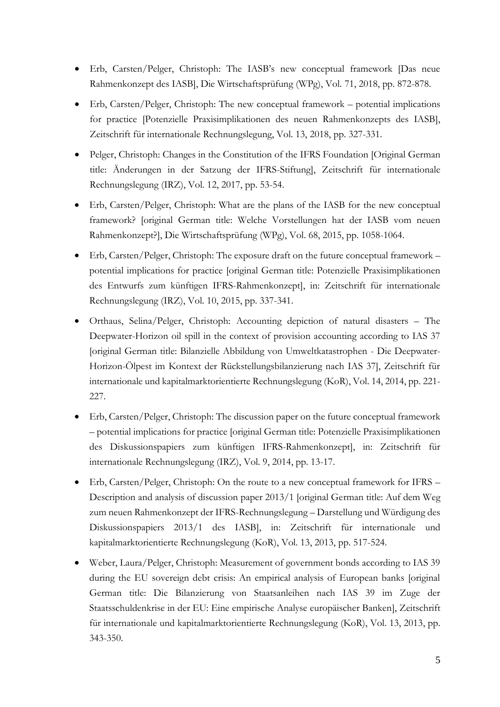- Erb, Carsten/Pelger, Christoph: The IASB's new conceptual framework [Das neue Rahmenkonzept des IASB], Die Wirtschaftsprüfung (WPg), Vol. 71, 2018, pp. 872-878.
- Erb, Carsten/Pelger, Christoph: The new conceptual framework potential implications for practice [Potenzielle Praxisimplikationen des neuen Rahmenkonzepts des IASB], Zeitschrift für internationale Rechnungslegung, Vol. 13, 2018, pp. 327-331.
- Pelger, Christoph: Changes in the Constitution of the IFRS Foundation [Original German] title: Änderungen in der Satzung der IFRS-Stiftung], Zeitschrift für internationale Rechnungslegung (IRZ), Vol. 12, 2017, pp. 53-54.
- Erb, Carsten/Pelger, Christoph: What are the plans of the IASB for the new conceptual framework? [original German title: Welche Vorstellungen hat der IASB vom neuen Rahmenkonzept?], Die Wirtschaftsprüfung (WPg), Vol. 68, 2015, pp. 1058-1064.
- Erb, Carsten/Pelger, Christoph: The exposure draft on the future conceptual framework potential implications for practice [original German title: Potenzielle Praxisimplikationen des Entwurfs zum künftigen IFRS-Rahmenkonzept], in: Zeitschrift für internationale Rechnungslegung (IRZ), Vol. 10, 2015, pp. 337-341.
- Orthaus, Selina/Pelger, Christoph: Accounting depiction of natural disasters The Deepwater-Horizon oil spill in the context of provision accounting according to IAS 37 [original German title: Bilanzielle Abbildung von Umweltkatastrophen - Die Deepwater-Horizon-Ölpest im Kontext der Rückstellungsbilanzierung nach IAS 37], Zeitschrift für internationale und kapitalmarktorientierte Rechnungslegung (KoR), Vol. 14, 2014, pp. 221- 227.
- Erb, Carsten/Pelger, Christoph: The discussion paper on the future conceptual framework – potential implications for practice [original German title: Potenzielle Praxisimplikationen des Diskussionspapiers zum künftigen IFRS-Rahmenkonzept], in: Zeitschrift für internationale Rechnungslegung (IRZ), Vol. 9, 2014, pp. 13-17.
- Erb, Carsten/Pelger, Christoph: On the route to a new conceptual framework for IFRS Description and analysis of discussion paper 2013/1 [original German title: Auf dem Weg zum neuen Rahmenkonzept der IFRS-Rechnungslegung – Darstellung und Würdigung des Diskussionspapiers 2013/1 des IASB], in: Zeitschrift für internationale und kapitalmarktorientierte Rechnungslegung (KoR), Vol. 13, 2013, pp. 517-524.
- Weber, Laura/Pelger, Christoph: Measurement of government bonds according to IAS 39 during the EU sovereign debt crisis: An empirical analysis of European banks [original German title: Die Bilanzierung von Staatsanleihen nach IAS 39 im Zuge der Staatsschuldenkrise in der EU: Eine empirische Analyse europäischer Banken], Zeitschrift für internationale und kapitalmarktorientierte Rechnungslegung (KoR), Vol. 13, 2013, pp. 343-350.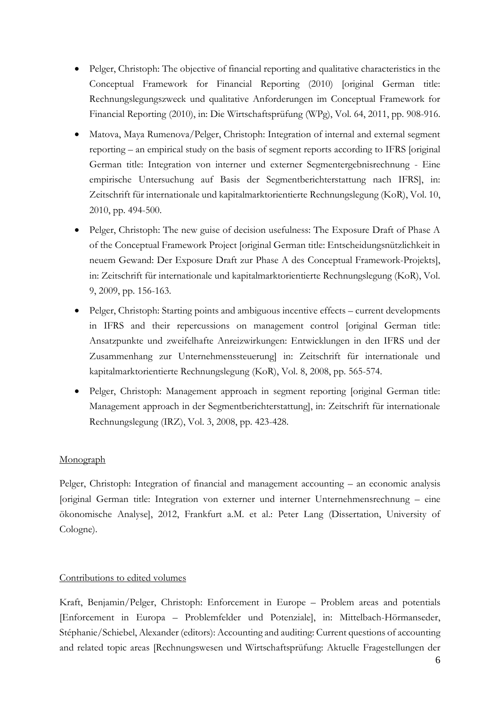- Pelger, Christoph: The objective of financial reporting and qualitative characteristics in the Conceptual Framework for Financial Reporting (2010) [original German title: Rechnungslegungszweck und qualitative Anforderungen im Conceptual Framework for Financial Reporting (2010), in: Die Wirtschaftsprüfung (WPg), Vol. 64, 2011, pp. 908-916.
- Matova, Maya Rumenova/Pelger, Christoph: Integration of internal and external segment reporting – an empirical study on the basis of segment reports according to IFRS [original German title: Integration von interner und externer Segmentergebnisrechnung - Eine empirische Untersuchung auf Basis der Segmentberichterstattung nach IFRS], in: Zeitschrift für internationale und kapitalmarktorientierte Rechnungslegung (KoR), Vol. 10, 2010, pp. 494-500.
- Pelger, Christoph: The new guise of decision usefulness: The Exposure Draft of Phase A of the Conceptual Framework Project [original German title: Entscheidungsnützlichkeit in neuem Gewand: Der Exposure Draft zur Phase A des Conceptual Framework-Projekts], in: Zeitschrift für internationale und kapitalmarktorientierte Rechnungslegung (KoR), Vol. 9, 2009, pp. 156-163.
- Pelger, Christoph: Starting points and ambiguous incentive effects current developments in IFRS and their repercussions on management control [original German title: Ansatzpunkte und zweifelhafte Anreizwirkungen: Entwicklungen in den IFRS und der Zusammenhang zur Unternehmenssteuerung] in: Zeitschrift für internationale und kapitalmarktorientierte Rechnungslegung (KoR), Vol. 8, 2008, pp. 565-574.
- Pelger, Christoph: Management approach in segment reporting [original German title: Management approach in der Segmentberichterstattung], in: Zeitschrift für internationale Rechnungslegung (IRZ), Vol. 3, 2008, pp. 423-428.

## Monograph

Pelger, Christoph: Integration of financial and management accounting – an economic analysis [original German title: Integration von externer und interner Unternehmensrechnung – eine ökonomische Analyse], 2012, Frankfurt a.M. et al.: Peter Lang (Dissertation, University of Cologne).

#### Contributions to edited volumes

Kraft, Benjamin/Pelger, Christoph: Enforcement in Europe – Problem areas and potentials [Enforcement in Europa – Problemfelder und Potenziale], in: Mittelbach-Hörmanseder, Stéphanie/Schiebel, Alexander (editors): Accounting and auditing: Current questions of accounting and related topic areas [Rechnungswesen und Wirtschaftsprüfung: Aktuelle Fragestellungen der